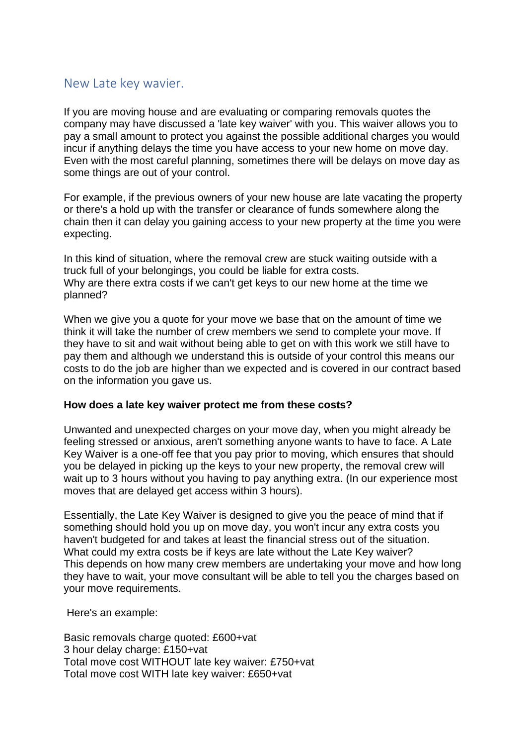## New Late key wavier.

If you are moving house and are evaluating or comparing removals quotes the company may have discussed a 'late key waiver' with you. This waiver allows you to pay a small amount to protect you against the possible additional charges you would incur if anything delays the time you have access to your new home on move day. Even with the most careful planning, sometimes there will be delays on move day as some things are out of your control.

For example, if the previous owners of your new house are late vacating the property or there's a hold up with the transfer or clearance of funds somewhere along the chain then it can delay you gaining access to your new property at the time you were expecting.

In this kind of situation, where the removal crew are stuck waiting outside with a truck full of your belongings, you could be liable for extra costs. Why are there extra costs if we can't get keys to our new home at the time we planned?

When we give you a quote for your move we base that on the amount of time we think it will take the number of crew members we send to complete your move. If they have to sit and wait without being able to get on with this work we still have to pay them and although we understand this is outside of your control this means our costs to do the job are higher than we expected and is covered in our contract based on the information you gave us.

## **How does a late key waiver protect me from these costs?**

Unwanted and unexpected charges on your move day, when you might already be feeling stressed or anxious, aren't something anyone wants to have to face. A Late Key Waiver is a one-off fee that you pay prior to moving, which ensures that should you be delayed in picking up the keys to your new property, the removal crew will wait up to 3 hours without you having to pay anything extra. (In our experience most moves that are delayed get access within 3 hours).

Essentially, the Late Key Waiver is designed to give you the peace of mind that if something should hold you up on move day, you won't incur any extra costs you haven't budgeted for and takes at least the financial stress out of the situation. What could my extra costs be if keys are late without the Late Key waiver? This depends on how many crew members are undertaking your move and how long they have to wait, your move consultant will be able to tell you the charges based on your move requirements.

Here's an example:

Basic removals charge quoted: £600+vat 3 hour delay charge: £150+vat Total move cost WITHOUT late key waiver: £750+vat Total move cost WITH late key waiver: £650+vat